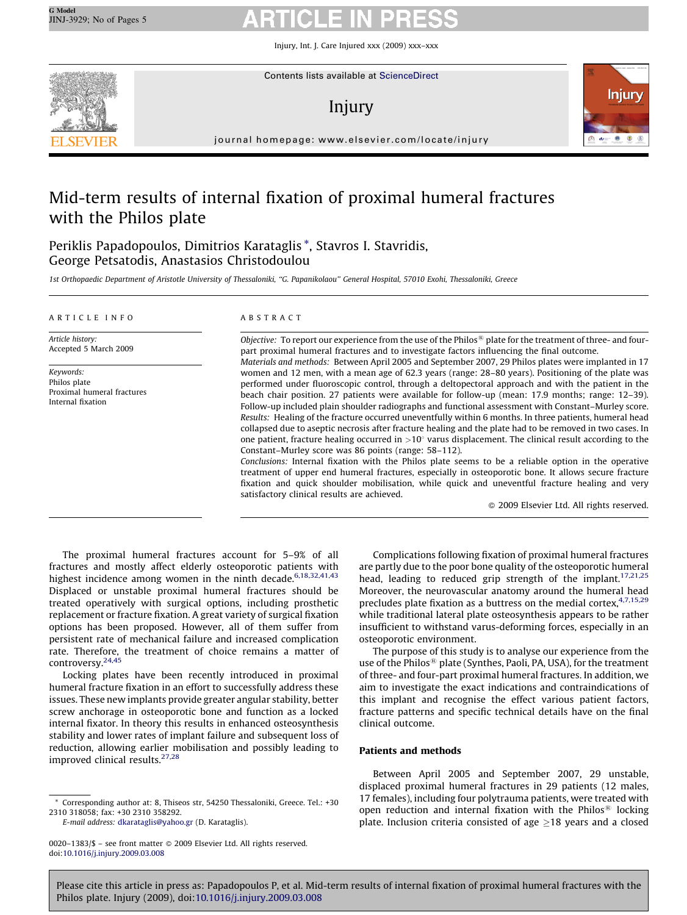Injury, Int. J. Care Injured xxx (2009) xxx–xxx



Contents lists available at [ScienceDirect](http://www.sciencedirect.com/science/journal/00201383)

# Injury



journal homepage: www.elsevier.com/locate/injury

# Mid-term results of internal fixation of proximal humeral fractures with the Philos plate

Periklis Papadopoulos, Dimitrios Karataglis \*, Stavros I. Stavridis, George Petsatodis, Anastasios Christodoulou

1st Orthopaedic Department of Aristotle University of Thessaloniki, ''G. Papanikolaou'' General Hospital, 57010 Exohi, Thessaloniki, Greece

### ARTICLE INFO

Article history: Accepted 5 March 2009

Keywords: Philos plate Proximal humeral fractures Internal fixation

### ABSTRACT

Objective: To report our experience from the use of the Philos<sup>®</sup> plate for the treatment of three- and fourpart proximal humeral fractures and to investigate factors influencing the final outcome. Materials and methods: Between April 2005 and September 2007, 29 Philos plates were implanted in 17 women and 12 men, with a mean age of 62.3 years (range: 28–80 years). Positioning of the plate was performed under fluoroscopic control, through a deltopectoral approach and with the patient in the beach chair position. 27 patients were available for follow-up (mean: 17.9 months; range: 12–39). Follow-up included plain shoulder radiographs and functional assessment with Constant–Murley score. Results: Healing of the fracture occurred uneventfully within 6 months. In three patients, humeral head collapsed due to aseptic necrosis after fracture healing and the plate had to be removed in two cases. In one patient, fracture healing occurred in  $>10^{\circ}$  varus displacement. The clinical result according to the Constant–Murley score was 86 points (range: 58–112).

Conclusions: Internal fixation with the Philos plate seems to be a reliable option in the operative treatment of upper end humeral fractures, especially in osteoporotic bone. It allows secure fracture fixation and quick shoulder mobilisation, while quick and uneventful fracture healing and very satisfactory clinical results are achieved.

- 2009 Elsevier Ltd. All rights reserved.

The proximal humeral fractures account for 5–9% of all fractures and mostly affect elderly osteoporotic patients with highest incidence among women in the ninth decade.<sup>6,18,32,41,43</sup> Displaced or unstable proximal humeral fractures should be treated operatively with surgical options, including prosthetic replacement or fracture fixation. A great variety of surgical fixation options has been proposed. However, all of them suffer from persistent rate of mechanical failure and increased complication rate. Therefore, the treatment of choice remains a matter of controversy.<sup>[24,45](#page-4-0)</sup>

Locking plates have been recently introduced in proximal humeral fracture fixation in an effort to successfully address these issues. These new implants provide greater angular stability, better screw anchorage in osteoporotic bone and function as a locked internal fixator. In theory this results in enhanced osteosynthesis stability and lower rates of implant failure and subsequent loss of reduction, allowing earlier mobilisation and possibly leading to improved clinical results. $27,28$ 

Complications following fixation of proximal humeral fractures are partly due to the poor bone quality of the osteoporotic humeral head, leading to reduced grip strength of the implant.<sup>[17,21,25](#page-4-0)</sup> Moreover, the neurovascular anatomy around the humeral head precludes plate fixation as a buttress on the medial cortex,  $4,7,15,29$ while traditional lateral plate osteosynthesis appears to be rather insufficient to withstand varus-deforming forces, especially in an osteoporotic environment.

The purpose of this study is to analyse our experience from the use of the Philos<sup>®</sup> plate (Synthes, Paoli, PA, USA), for the treatment of three- and four-part proximal humeral fractures. In addition, we aim to investigate the exact indications and contraindications of this implant and recognise the effect various patient factors, fracture patterns and specific technical details have on the final clinical outcome.

### Patients and methods

Between April 2005 and September 2007, 29 unstable, displaced proximal humeral fractures in 29 patients (12 males, 17 females), including four polytrauma patients, were treated with open reduction and internal fixation with the Philos<sup>®</sup> locking plate. Inclusion criteria consisted of age  $\geq$ 18 years and a closed

<sup>\*</sup> Corresponding author at: 8, Thiseos str, 54250 Thessaloniki, Greece. Tel.: +30 2310 318058; fax: +30 2310 358292.

E-mail address: [dkarataglis@yahoo.gr](mailto:dkarataglis@yahoo.gr) (D. Karataglis).

<sup>0020–1383/\$ –</sup> see front matter © 2009 Elsevier Ltd. All rights reserved. doi:[10.1016/j.injury.2009.03.008](http://dx.doi.org/10.1016/j.injury.2009.03.008)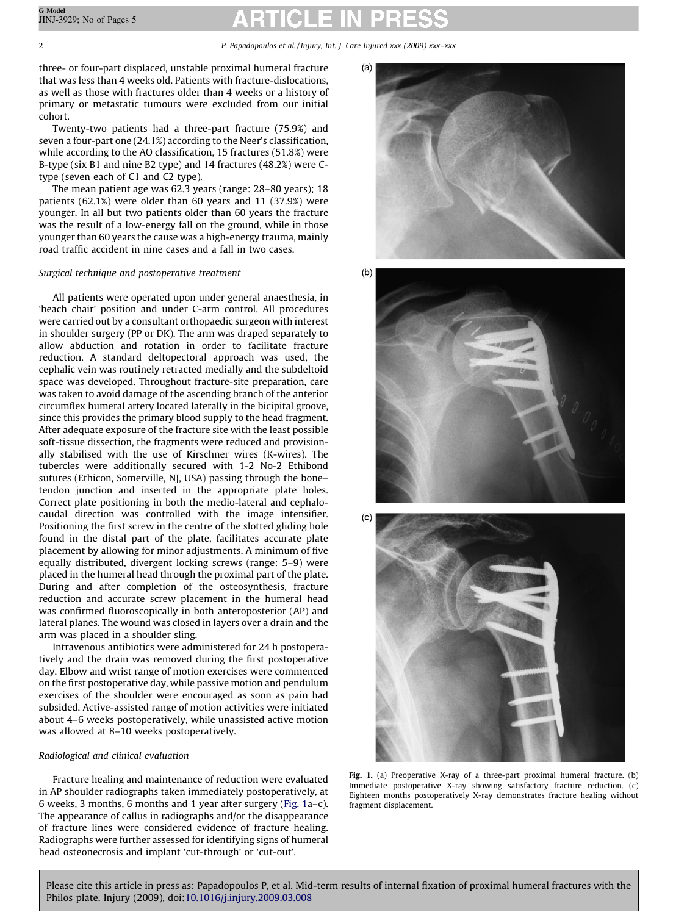three- or four-part displaced, unstable proximal humeral fracture that was less than 4 weeks old. Patients with fracture-dislocations, as well as those with fractures older than 4 weeks or a history of primary or metastatic tumours were excluded from our initial cohort.

Twenty-two patients had a three-part fracture (75.9%) and seven a four-part one (24.1%) according to the Neer's classification, while according to the AO classification, 15 fractures (51.8%) were B-type (six B1 and nine B2 type) and 14 fractures (48.2%) were Ctype (seven each of C1 and C2 type).

The mean patient age was 62.3 years (range: 28–80 years); 18 patients (62.1%) were older than 60 years and 11 (37.9%) were younger. In all but two patients older than 60 years the fracture was the result of a low-energy fall on the ground, while in those younger than 60 years the cause was a high-energy trauma, mainly road traffic accident in nine cases and a fall in two cases.

## Surgical technique and postoperative treatment

All patients were operated upon under general anaesthesia, in 'beach chair' position and under C-arm control. All procedures were carried out by a consultant orthopaedic surgeon with interest in shoulder surgery (PP or DK). The arm was draped separately to allow abduction and rotation in order to facilitate fracture reduction. A standard deltopectoral approach was used, the cephalic vein was routinely retracted medially and the subdeltoid space was developed. Throughout fracture-site preparation, care was taken to avoid damage of the ascending branch of the anterior circumflex humeral artery located laterally in the bicipital groove, since this provides the primary blood supply to the head fragment. After adequate exposure of the fracture site with the least possible soft-tissue dissection, the fragments were reduced and provisionally stabilised with the use of Kirschner wires (K-wires). The tubercles were additionally secured with 1-2 No-2 Ethibond sutures (Ethicon, Somerville, NJ, USA) passing through the bonetendon junction and inserted in the appropriate plate holes. Correct plate positioning in both the medio-lateral and cephalocaudal direction was controlled with the image intensifier. Positioning the first screw in the centre of the slotted gliding hole found in the distal part of the plate, facilitates accurate plate placement by allowing for minor adjustments. A minimum of five equally distributed, divergent locking screws (range: 5–9) were placed in the humeral head through the proximal part of the plate. During and after completion of the osteosynthesis, fracture reduction and accurate screw placement in the humeral head was confirmed fluoroscopically in both anteroposterior (AP) and lateral planes. The wound was closed in layers over a drain and the arm was placed in a shoulder sling.

Intravenous antibiotics were administered for 24 h postoperatively and the drain was removed during the first postoperative day. Elbow and wrist range of motion exercises were commenced on the first postoperative day, while passive motion and pendulum exercises of the shoulder were encouraged as soon as pain had subsided. Active-assisted range of motion activities were initiated about 4–6 weeks postoperatively, while unassisted active motion was allowed at 8–10 weeks postoperatively.

## Radiological and clinical evaluation

Fracture healing and maintenance of reduction were evaluated in AP shoulder radiographs taken immediately postoperatively, at 6 weeks, 3 months, 6 months and 1 year after surgery (Fig. 1a–c). The appearance of callus in radiographs and/or the disappearance of fracture lines were considered evidence of fracture healing. Radiographs were further assessed for identifying signs of humeral head osteonecrosis and implant 'cut-through' or 'cut-out'.



 $(b)$ 





Fig. 1. (a) Preoperative X-ray of a three-part proximal humeral fracture. (b) Immediate postoperative X-ray showing satisfactory fracture reduction. (c) Eighteen months postoperatively X-ray demonstrates fracture healing without fragment displacement.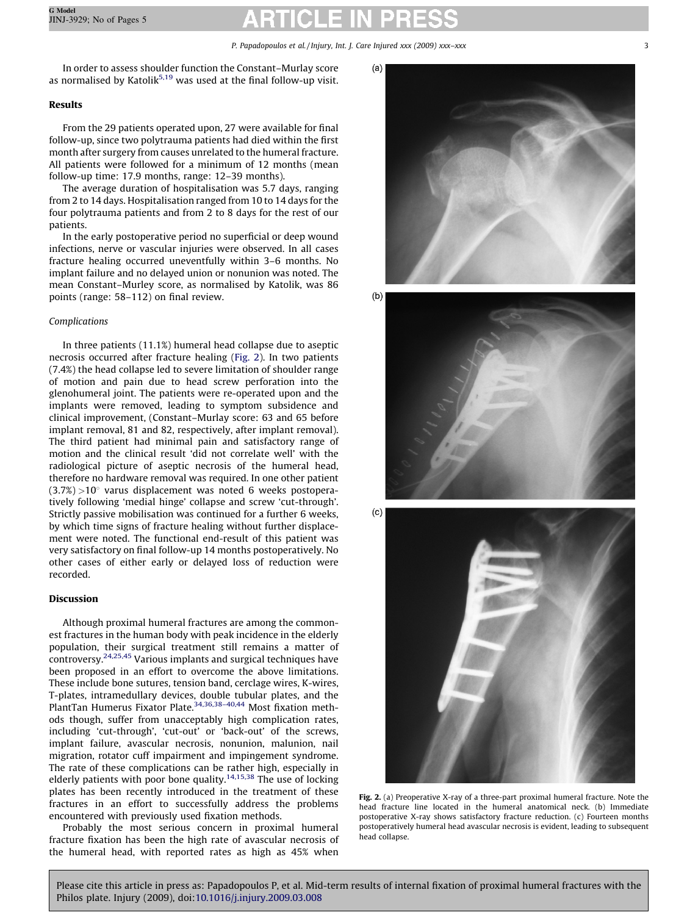In order to assess shoulder function the Constant–Murlay score as normalised by Katolik<sup>[5,19](#page-4-0)</sup> was used at the final follow-up visit.

# Results

From the 29 patients operated upon, 27 were available for final follow-up, since two polytrauma patients had died within the first month after surgery from causes unrelated to the humeral fracture. All patients were followed for a minimum of 12 months (mean follow-up time: 17.9 months, range: 12–39 months).

The average duration of hospitalisation was 5.7 days, ranging from 2 to 14 days. Hospitalisation ranged from 10 to 14 days for the four polytrauma patients and from 2 to 8 days for the rest of our patients.

In the early postoperative period no superficial or deep wound infections, nerve or vascular injuries were observed. In all cases fracture healing occurred uneventfully within 3–6 months. No implant failure and no delayed union or nonunion was noted. The mean Constant–Murley score, as normalised by Katolik, was 86 points (range: 58–112) on final review.

# Complications

In three patients (11.1%) humeral head collapse due to aseptic necrosis occurred after fracture healing (Fig. 2). In two patients (7.4%) the head collapse led to severe limitation of shoulder range of motion and pain due to head screw perforation into the glenohumeral joint. The patients were re-operated upon and the implants were removed, leading to symptom subsidence and clinical improvement, (Constant–Murlay score: 63 and 65 before implant removal, 81 and 82, respectively, after implant removal). The third patient had minimal pain and satisfactory range of motion and the clinical result 'did not correlate well' with the radiological picture of aseptic necrosis of the humeral head, therefore no hardware removal was required. In one other patient  $(3.7%) > 10^{\circ}$  varus displacement was noted 6 weeks postoperatively following 'medial hinge' collapse and screw 'cut-through'. Strictly passive mobilisation was continued for a further 6 weeks, by which time signs of fracture healing without further displacement were noted. The functional end-result of this patient was very satisfactory on final follow-up 14 months postoperatively. No other cases of either early or delayed loss of reduction were recorded.

# Discussion

Although proximal humeral fractures are among the commonest fractures in the human body with peak incidence in the elderly population, their surgical treatment still remains a matter of controversy.[24,25,45](#page-4-0) Various implants and surgical techniques have been proposed in an effort to overcome the above limitations. These include bone sutures, tension band, cerclage wires, K-wires, T-plates, intramedullary devices, double tubular plates, and the PlantTan Humerus Fixator Plate.<sup>34,36,38-40,44</sup> Most fixation methods though, suffer from unacceptably high complication rates, including 'cut-through', 'cut-out' or 'back-out' of the screws, implant failure, avascular necrosis, nonunion, malunion, nail migration, rotator cuff impairment and impingement syndrome. The rate of these complications can be rather high, especially in elderly patients with poor bone quality.<sup>14,15,38</sup> The use of locking plates has been recently introduced in the treatment of these fractures in an effort to successfully address the problems encountered with previously used fixation methods.

Probably the most serious concern in proximal humeral fracture fixation has been the high rate of avascular necrosis of the humeral head, with reported rates as high as 45% when



 $(b)$ 





Fig. 2. (a) Preoperative X-ray of a three-part proximal humeral fracture. Note the head fracture line located in the humeral anatomical neck. (b) Immediate postoperative X-ray shows satisfactory fracture reduction. (c) Fourteen months postoperatively humeral head avascular necrosis is evident, leading to subsequent head collapse.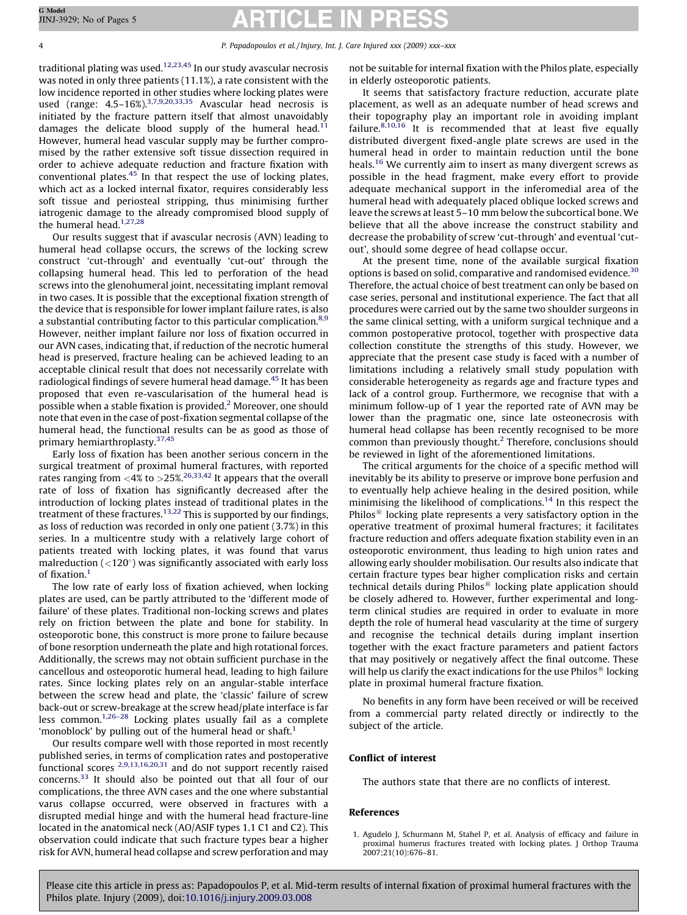traditional plating was used. $12,23,45$  In our study avascular necrosis was noted in only three patients (11.1%), a rate consistent with the low incidence reported in other studies where locking plates were used (range:  $4.5-16\%,^{3,7,9,20,33,35}$  $4.5-16\%,^{3,7,9,20,33,35}$  $4.5-16\%,^{3,7,9,20,33,35}$  Avascular head necrosis is initiated by the fracture pattern itself that almost unavoidably damages the delicate blood supply of the humeral head.<sup>[11](#page-4-0)</sup> However, humeral head vascular supply may be further compromised by the rather extensive soft tissue dissection required in order to achieve adequate reduction and fracture fixation with conventional plates. $45$  In that respect the use of locking plates, which act as a locked internal fixator, requires considerably less soft tissue and periosteal stripping, thus minimising further iatrogenic damage to the already compromised blood supply of the humeral head. $1,27,28$ 

Our results suggest that if avascular necrosis (AVN) leading to humeral head collapse occurs, the screws of the locking screw construct 'cut-through' and eventually 'cut-out' through the collapsing humeral head. This led to perforation of the head screws into the glenohumeral joint, necessitating implant removal in two cases. It is possible that the exceptional fixation strength of the device that is responsible for lower implant failure rates, is also a substantial contributing factor to this particular complication.<sup>8,9</sup> However, neither implant failure nor loss of fixation occurred in our AVN cases, indicating that, if reduction of the necrotic humeral head is preserved, fracture healing can be achieved leading to an acceptable clinical result that does not necessarily correlate with radiological findings of severe humeral head damage.<sup>[45](#page-4-0)</sup> It has been proposed that even re-vascularisation of the humeral head is possible when a stable fixation is provided.[2](#page-4-0) Moreover, one should note that even in the case of post-fixation segmental collapse of the humeral head, the functional results can be as good as those of primary hemiarthroplasty.[37,45](#page-4-0)

Early loss of fixation has been another serious concern in the surgical treatment of proximal humeral fractures, with reported rates ranging from  $\langle 4 \rangle$  to  $>$  25%.<sup>[26,33,42](#page-4-0)</sup> It appears that the overall rate of loss of fixation has significantly decreased after the introduction of locking plates instead of traditional plates in the treatment of these fractures.<sup>[13,22](#page-4-0)</sup> This is supported by our findings, as loss of reduction was recorded in only one patient (3.7%) in this series. In a multicentre study with a relatively large cohort of patients treated with locking plates, it was found that varus malreduction  $\left($  < 120 $\degree$ ) was significantly associated with early loss of fixation.<sup>1</sup>

The low rate of early loss of fixation achieved, when locking plates are used, can be partly attributed to the 'different mode of failure' of these plates. Traditional non-locking screws and plates rely on friction between the plate and bone for stability. In osteoporotic bone, this construct is more prone to failure because of bone resorption underneath the plate and high rotational forces. Additionally, the screws may not obtain sufficient purchase in the cancellous and osteoporotic humeral head, leading to high failure rates. Since locking plates rely on an angular-stable interface between the screw head and plate, the 'classic' failure of screw back-out or screw-breakage at the screw head/plate interface is far less common.<sup>1,26–28</sup> Locking plates usually fail as a complete 'monoblock' by pulling out of the humeral head or shaft.<sup>1</sup>

Our results compare well with those reported in most recently published series, in terms of complication rates and postoperative functional scores [2,9,13,16,20,31](#page-4-0) and do not support recently raised concerns.[33](#page-4-0) It should also be pointed out that all four of our complications, the three AVN cases and the one where substantial varus collapse occurred, were observed in fractures with a disrupted medial hinge and with the humeral head fracture-line located in the anatomical neck (AO/ASIF types 1.1 C1 and C2). This observation could indicate that such fracture types bear a higher risk for AVN, humeral head collapse and screw perforation and may not be suitable for internal fixation with the Philos plate, especially in elderly osteoporotic patients.

It seems that satisfactory fracture reduction, accurate plate placement, as well as an adequate number of head screws and their topography play an important role in avoiding implant failure. $8,10,16$  It is recommended that at least five equally distributed divergent fixed-angle plate screws are used in the humeral head in order to maintain reduction until the bone heals.<sup>[16](#page-4-0)</sup> We currently aim to insert as many divergent screws as possible in the head fragment, make every effort to provide adequate mechanical support in the inferomedial area of the humeral head with adequately placed oblique locked screws and leave the screws at least 5–10 mm below the subcortical bone. We believe that all the above increase the construct stability and decrease the probability of screw 'cut-through' and eventual 'cutout', should some degree of head collapse occur.

At the present time, none of the available surgical fixation options is based on solid, comparative and randomised evidence.<sup>[30](#page-4-0)</sup> Therefore, the actual choice of best treatment can only be based on case series, personal and institutional experience. The fact that all procedures were carried out by the same two shoulder surgeons in the same clinical setting, with a uniform surgical technique and a common postoperative protocol, together with prospective data collection constitute the strengths of this study. However, we appreciate that the present case study is faced with a number of limitations including a relatively small study population with considerable heterogeneity as regards age and fracture types and lack of a control group. Furthermore, we recognise that with a minimum follow-up of 1 year the reported rate of AVN may be lower than the pragmatic one, since late osteonecrosis with humeral head collapse has been recently recognised to be more common than previously thought. $<sup>2</sup>$  $<sup>2</sup>$  $<sup>2</sup>$  Therefore, conclusions should</sup> be reviewed in light of the aforementioned limitations.

The critical arguments for the choice of a specific method will inevitably be its ability to preserve or improve bone perfusion and to eventually help achieve healing in the desired position, while minimising the likelihood of complications.<sup>14</sup> In this respect the Philos<sup>®</sup> locking plate represents a very satisfactory option in the operative treatment of proximal humeral fractures; it facilitates fracture reduction and offers adequate fixation stability even in an osteoporotic environment, thus leading to high union rates and allowing early shoulder mobilisation. Our results also indicate that certain fracture types bear higher complication risks and certain technical details during  $Philos^{\circledR}$  locking plate application should be closely adhered to. However, further experimental and longterm clinical studies are required in order to evaluate in more depth the role of humeral head vascularity at the time of surgery and recognise the technical details during implant insertion together with the exact fracture parameters and patient factors that may positively or negatively affect the final outcome. These will help us clarify the exact indications for the use  $\text{Philos}^{\circledR}$  locking plate in proximal humeral fracture fixation.

No benefits in any form have been received or will be received from a commercial party related directly or indirectly to the subject of the article.

### Conflict of interest

The authors state that there are no conflicts of interest.

### References

1. Agudelo J, Schurmann M, Stahel P, et al. Analysis of efficacy and failure in proximal humerus fractures treated with locking plates. J Orthop Trauma 2007;21(10):676–81.